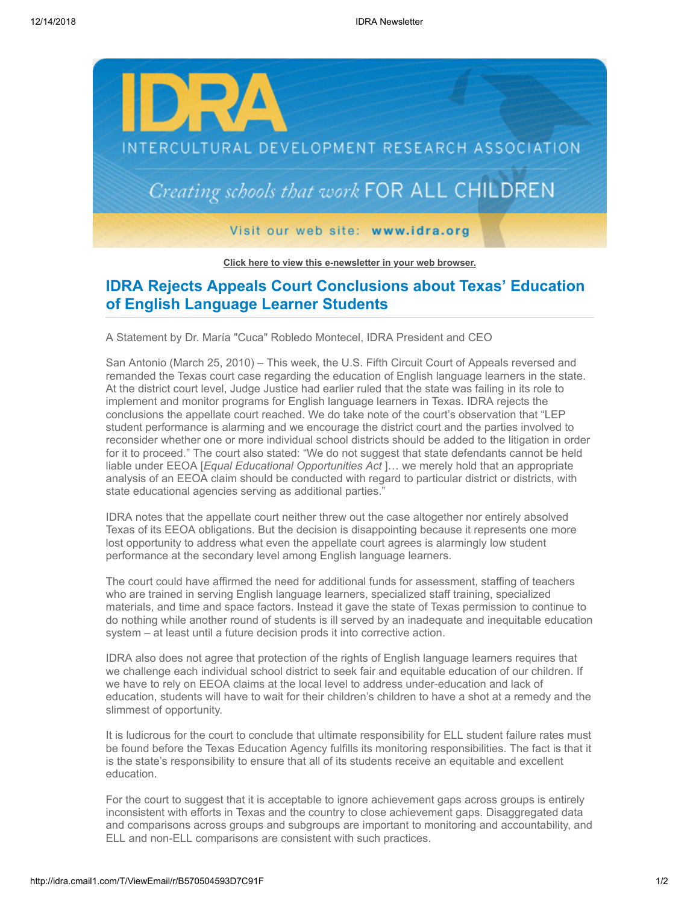

**[Click here to view this e-newsletter in your web browser.](http://idra.createsend1.com/t/r/e/ohiiuj/l/)**

## **IDRA Rejects Appeals Court Conclusions about Texas' Education of English Language Learner Students**

A Statement by Dr. María "Cuca" Robledo Montecel, IDRA President and CEO

San Antonio (March 25, 2010) – This week, the U.S. Fifth Circuit Court of Appeals reversed and remanded the Texas court case regarding the education of English language learners in the state. At the district court level, Judge Justice had earlier ruled that the state was failing in its role to implement and monitor programs for English language learners in Texas. IDRA rejects the conclusions the appellate court reached. We do take note of the court's observation that "LEP student performance is alarming and we encourage the district court and the parties involved to reconsider whether one or more individual school districts should be added to the litigation in order for it to proceed." The court also stated: "We do not suggest that state defendants cannot be held liable under EEOA [*Equal Educational Opportunities Act* ]… we merely hold that an appropriate analysis of an EEOA claim should be conducted with regard to particular district or districts, with state educational agencies serving as additional parties."

IDRA notes that the appellate court neither threw out the case altogether nor entirely absolved Texas of its EEOA obligations. But the decision is disappointing because it represents one more lost opportunity to address what even the appellate court agrees is alarmingly low student performance at the secondary level among English language learners.

The court could have affirmed the need for additional funds for assessment, staffing of teachers who are trained in serving English language learners, specialized staff training, specialized materials, and time and space factors. Instead it gave the state of Texas permission to continue to do nothing while another round of students is ill served by an inadequate and inequitable education system – at least until a future decision prods it into corrective action.

IDRA also does not agree that protection of the rights of English language learners requires that we challenge each individual school district to seek fair and equitable education of our children. If we have to rely on EEOA claims at the local level to address under-education and lack of education, students will have to wait for their children's children to have a shot at a remedy and the slimmest of opportunity.

It is ludicrous for the court to conclude that ultimate responsibility for ELL student failure rates must be found before the Texas Education Agency fulfills its monitoring responsibilities. The fact is that it is the state's responsibility to ensure that all of its students receive an equitable and excellent education.

For the court to suggest that it is acceptable to ignore achievement gaps across groups is entirely inconsistent with efforts in Texas and the country to close achievement gaps. Disaggregated data and comparisons across groups and subgroups are important to monitoring and accountability, and ELL and non-ELL comparisons are consistent with such practices.